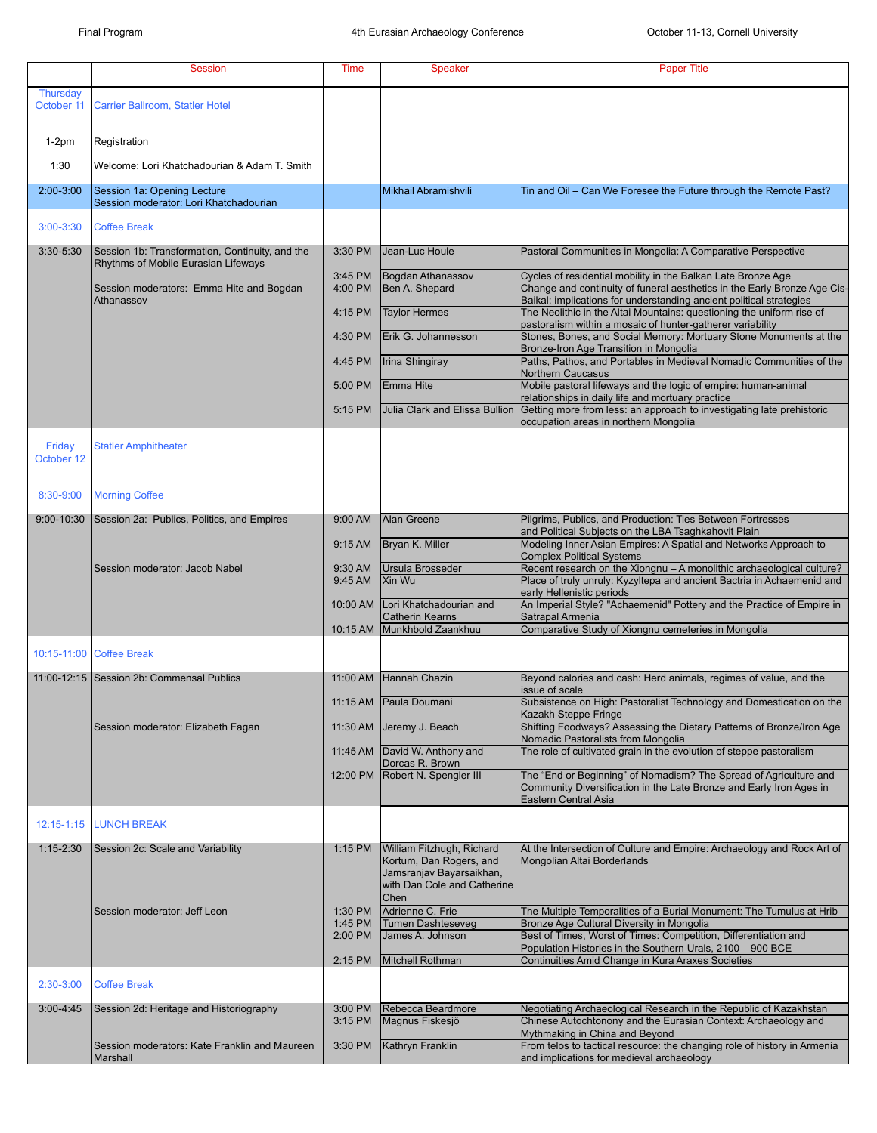|                               | <b>Session</b>                                                                         | Time                          | <b>Speaker</b>                                                                                                          | <b>Paper Title</b>                                                                                                                                                                                                                                 |
|-------------------------------|----------------------------------------------------------------------------------------|-------------------------------|-------------------------------------------------------------------------------------------------------------------------|----------------------------------------------------------------------------------------------------------------------------------------------------------------------------------------------------------------------------------------------------|
| <b>Thursday</b><br>October 11 | Carrier Ballroom, Statler Hotel                                                        |                               |                                                                                                                         |                                                                                                                                                                                                                                                    |
| $1-2pm$                       | Registration                                                                           |                               |                                                                                                                         |                                                                                                                                                                                                                                                    |
| 1:30                          | Welcome: Lori Khatchadourian & Adam T. Smith                                           |                               |                                                                                                                         |                                                                                                                                                                                                                                                    |
| $2:00-3:00$                   | Session 1a: Opening Lecture<br>Session moderator: Lori Khatchadourian                  |                               | Mikhail Abramishvili                                                                                                    | Tin and Oil - Can We Foresee the Future through the Remote Past?                                                                                                                                                                                   |
| $3:00 - 3:30$                 | <b>Coffee Break</b>                                                                    |                               |                                                                                                                         |                                                                                                                                                                                                                                                    |
| $3:30 - 5:30$                 | Session 1b: Transformation, Continuity, and the<br>Rhythms of Mobile Eurasian Lifeways | 3:30 PM                       | Jean-Luc Houle                                                                                                          | Pastoral Communities in Mongolia: A Comparative Perspective                                                                                                                                                                                        |
|                               | Session moderators: Emma Hite and Bogdan<br>Athanassov                                 | 3:45 PM<br>4:00 PM            | Bogdan Athanassov<br>Ben A. Shepard                                                                                     | Cycles of residential mobility in the Balkan Late Bronze Age<br>Change and continuity of funeral aesthetics in the Early Bronze Age Cis-<br>Baikal: implications for understanding ancient political strategies                                    |
|                               |                                                                                        | 4:15 PM                       | <b>Taylor Hermes</b>                                                                                                    | The Neolithic in the Altai Mountains: questioning the uniform rise of<br>pastoralism within a mosaic of hunter-gatherer variability                                                                                                                |
|                               |                                                                                        | 4:30 PM                       | Erik G. Johannesson                                                                                                     | Stones, Bones, and Social Memory: Mortuary Stone Monuments at the                                                                                                                                                                                  |
|                               |                                                                                        | 4:45 PM                       | <b>Irina Shingiray</b>                                                                                                  | Bronze-Iron Age Transition in Mongolia<br>Paths, Pathos, and Portables in Medieval Nomadic Communities of the                                                                                                                                      |
|                               |                                                                                        | 5:00 PM                       | <b>IEmma Hite</b>                                                                                                       | Northern Caucasus<br>Mobile pastoral lifeways and the logic of empire: human-animal                                                                                                                                                                |
|                               |                                                                                        | 5:15 PM                       | Julia Clark and Elissa Bullion                                                                                          | relationships in daily life and mortuary practice<br>Getting more from less: an approach to investigating late prehistoric<br>occupation areas in northern Mongolia                                                                                |
| Friday<br>October 12          | <b>Statler Amphitheater</b>                                                            |                               |                                                                                                                         |                                                                                                                                                                                                                                                    |
|                               |                                                                                        |                               |                                                                                                                         |                                                                                                                                                                                                                                                    |
| 8:30-9:00                     | <b>Morning Coffee</b>                                                                  |                               |                                                                                                                         |                                                                                                                                                                                                                                                    |
| 9:00-10:30                    | Session 2a: Publics, Politics, and Empires                                             | $9:00$ AM                     | <b>Alan Greene</b>                                                                                                      | Pilgrims, Publics, and Production: Ties Between Fortresses<br>and Political Subjects on the LBA Tsaghkahovit Plain                                                                                                                                 |
|                               |                                                                                        | $9:15$ AM                     | Bryan K. Miller                                                                                                         | Modeling Inner Asian Empires: A Spatial and Networks Approach to<br><b>Complex Political Systems</b>                                                                                                                                               |
|                               | Session moderator: Jacob Nabel                                                         | 9:30 AM<br>9:45 AM            | Ursula Brosseder<br>Xin Wu                                                                                              | Recent research on the Xiongnu - A monolithic archaeological culture?<br>Place of truly unruly: Kyzyltepa and ancient Bactria in Achaemenid and<br>early Hellenistic periods                                                                       |
|                               |                                                                                        | 10:00 AM                      | Lori Khatchadourian and<br><b>Catherin Kearns</b>                                                                       | An Imperial Style? "Achaemenid" Pottery and the Practice of Empire in<br>Satrapal Armenia                                                                                                                                                          |
|                               |                                                                                        |                               | 10:15 AM Munkhbold Zaankhuu                                                                                             | Comparative Study of Xiongnu cemeteries in Mongolia                                                                                                                                                                                                |
|                               | 10:15-11:00 Coffee Break                                                               |                               |                                                                                                                         |                                                                                                                                                                                                                                                    |
|                               | 11:00-12:15 Session 2b: Commensal Publics                                              | 11:00 AM                      | Hannah Chazin                                                                                                           | Beyond calories and cash: Herd animals, regimes of value, and the<br>issue of scale                                                                                                                                                                |
|                               |                                                                                        | $11:15$ AM                    | <b>Paula Doumani</b>                                                                                                    | Subsistence on High: Pastoralist Technology and Domestication on the<br>Kazakh Steppe Fringe                                                                                                                                                       |
|                               | Session moderator: Elizabeth Fagan                                                     | 11:30 AM                      | Jeremy J. Beach                                                                                                         | Shifting Foodways? Assessing the Dietary Patterns of Bronze/Iron Age<br>Nomadic Pastoralists from Mongolia                                                                                                                                         |
|                               |                                                                                        | 11:45 AM                      | David W. Anthony and<br>Dorcas R. Brown                                                                                 | The role of cultivated grain in the evolution of steppe pastoralism                                                                                                                                                                                |
|                               |                                                                                        |                               | 12:00 PM Robert N. Spengler III                                                                                         | The "End or Beginning" of Nomadism? The Spread of Agriculture and<br>Community Diversification in the Late Bronze and Early Iron Ages in<br>Eastern Central Asia                                                                                   |
| 12:15-1:15                    | <b>LUNCH BREAK</b>                                                                     |                               |                                                                                                                         |                                                                                                                                                                                                                                                    |
| $1:15 - 2:30$                 | Session 2c: Scale and Variability                                                      | $1:15$ PM                     | William Fitzhugh, Richard<br>Kortum, Dan Rogers, and<br>Jamsranjav Bayarsaikhan,<br>with Dan Cole and Catherine<br>Chen | At the Intersection of Culture and Empire: Archaeology and Rock Art of<br>Mongolian Altai Borderlands                                                                                                                                              |
|                               | Session moderator: Jeff Leon                                                           | 1:30 PM<br>1:45 PM<br>2:00 PM | Adrienne C. Frie<br><b>Tumen Dashteseveg</b><br>James A. Johnson                                                        | The Multiple Temporalities of a Burial Monument: The Tumulus at Hrib<br>Bronze Age Cultural Diversity in Mongolia<br>Best of Times, Worst of Times: Competition, Differentiation and<br>Population Histories in the Southern Urals, 2100 - 900 BCE |
|                               |                                                                                        | $2:15$ PM                     | Mitchell Rothman                                                                                                        | Continuities Amid Change in Kura Araxes Societies                                                                                                                                                                                                  |
| 2:30-3:00                     | <b>Coffee Break</b>                                                                    |                               |                                                                                                                         |                                                                                                                                                                                                                                                    |
| $3:00 - 4:45$                 | Session 2d: Heritage and Historiography                                                | 3:00 PM<br>$3:15$ PM          | Rebecca Beardmore<br>Magnus Fiskesjö                                                                                    | Negotiating Archaeological Research in the Republic of Kazakhstan<br>Chinese Autochtonony and the Eurasian Context: Archaeology and                                                                                                                |
|                               | Session moderators: Kate Franklin and Maureen<br>Marshall                              | 3:30 PM                       | Kathryn Franklin                                                                                                        | Mythmaking in China and Beyond<br>From telos to tactical resource: the changing role of history in Armenia<br>and implications for medieval archaeology                                                                                            |